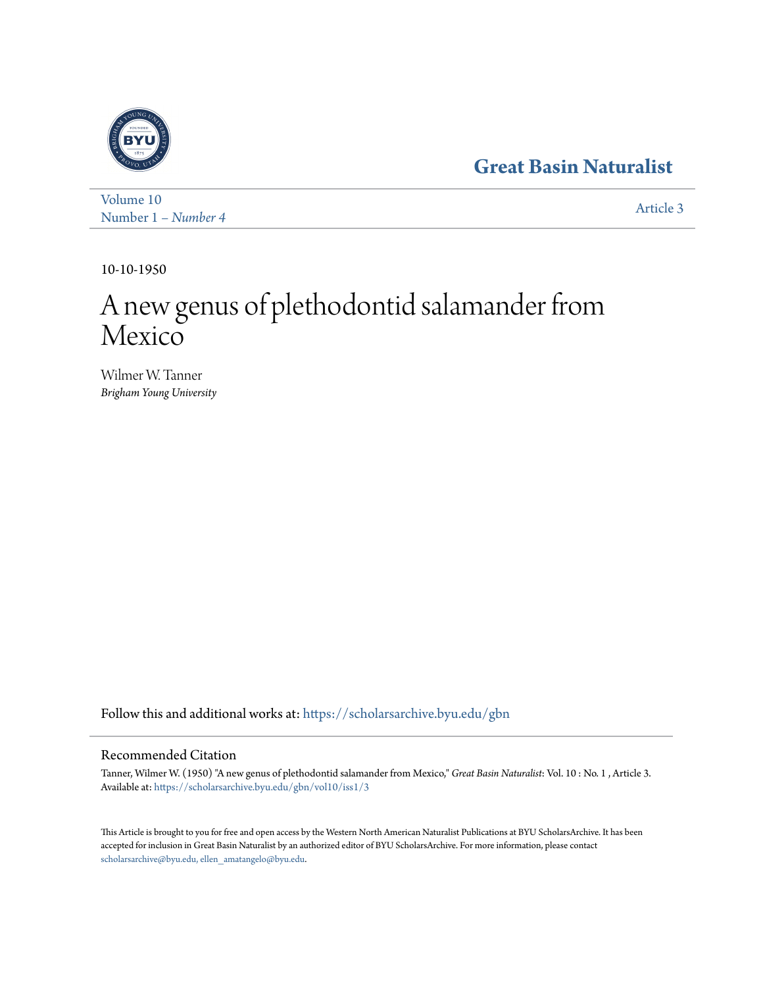# **[Great Basin Naturalist](https://scholarsarchive.byu.edu/gbn?utm_source=scholarsarchive.byu.edu%2Fgbn%2Fvol10%2Fiss1%2F3&utm_medium=PDF&utm_campaign=PDFCoverPages)**



[Volume 10](https://scholarsarchive.byu.edu/gbn/vol10?utm_source=scholarsarchive.byu.edu%2Fgbn%2Fvol10%2Fiss1%2F3&utm_medium=PDF&utm_campaign=PDFCoverPages) Number 1 *[– Number 4](https://scholarsarchive.byu.edu/gbn/vol10/iss1?utm_source=scholarsarchive.byu.edu%2Fgbn%2Fvol10%2Fiss1%2F3&utm_medium=PDF&utm_campaign=PDFCoverPages)* [Article 3](https://scholarsarchive.byu.edu/gbn/vol10/iss1/3?utm_source=scholarsarchive.byu.edu%2Fgbn%2Fvol10%2Fiss1%2F3&utm_medium=PDF&utm_campaign=PDFCoverPages)

10-10-1950

# A new genus of plethodontid salamander from Mexico

Wilmer W. Tanner *Brigham Young University*

Follow this and additional works at: [https://scholarsarchive.byu.edu/gbn](https://scholarsarchive.byu.edu/gbn?utm_source=scholarsarchive.byu.edu%2Fgbn%2Fvol10%2Fiss1%2F3&utm_medium=PDF&utm_campaign=PDFCoverPages)

## Recommended Citation

Tanner, Wilmer W. (1950) "A new genus of plethodontid salamander from Mexico," *Great Basin Naturalist*: Vol. 10 : No. 1 , Article 3. Available at: [https://scholarsarchive.byu.edu/gbn/vol10/iss1/3](https://scholarsarchive.byu.edu/gbn/vol10/iss1/3?utm_source=scholarsarchive.byu.edu%2Fgbn%2Fvol10%2Fiss1%2F3&utm_medium=PDF&utm_campaign=PDFCoverPages)

This Article is brought to you for free and open access by the Western North American Naturalist Publications at BYU ScholarsArchive. It has been accepted for inclusion in Great Basin Naturalist by an authorized editor of BYU ScholarsArchive. For more information, please contact [scholarsarchive@byu.edu, ellen\\_amatangelo@byu.edu.](mailto:scholarsarchive@byu.edu,%20ellen_amatangelo@byu.edu)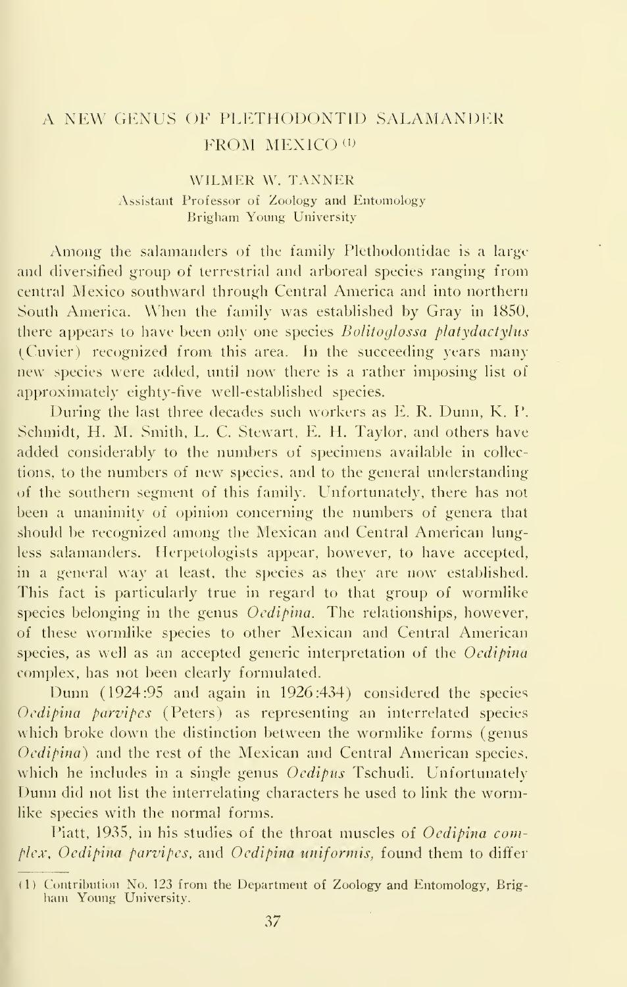### A NEW GENUS OF PLETHODONTID SALAMANDER FROM MEXICO<sup>(1)</sup>

#### WILMER W. TANNER

Assistant Professor of Zoology and Entomology Brigham Young University

Among the salamanders of the family Plethodontidae is <sup>a</sup> large and diversified group of terrestrial and arboreal species ranging from central Mexico southward through Central America and into northern South America. When the family was established by Gray in 1850, there appears to have been only one species Bolitoglossa platydactylus (Cuvier) recognized from this area. In the succeeding years many new species were added, until now there is a rather imposing list of approximately eighty-five well-established species.

During the last three decades such workers as E. R. Dunn, K. P. Schmidt, H. M. Smith, L. C. Stewart, E. H. Taylor, and others have added considerably to the numbers of specimens available in collections, to the numbers of new species, and to the general understanding of the southern segment of this family. Unfortunately, there has not been a unanimity of opinion concerning the numbers of genera that should be recognized among the Mexican and Central American lungless salamanders. Herpetologists appear, however, to have accepted, in a general way at least, the species as they are now established. This fact is particularly true in regard to that group of wormlike species belonging in the genus *Oedipina*. The relationships, however, of these wormlike species to other Mexican and Central American species, as well as an accepted generic interpretation of the Oedipina complex, has not been clearly formulated.

Dunn (1924:95 and again in 1926:434) considered the species Oedipina parvipes (Peters) as representing an interrelated species which broke down the distinction between the wormlike forms (genus Oedipina) and the rest of the Mexican and Central American species, which he includes in a single genus *Oedipus* Tschudi. Unfortunately Dunn did not list the interrelating characters he used to link the wormlike species with the normal forms.

Piatt, 1935, in his studies of the throat muscles of Oedipina complex, Oedipina parvipes, and Oedipina uniformis, found them to differ

Contribution No. 123 from the Department of Zoology and Entomology, Brigham Young University.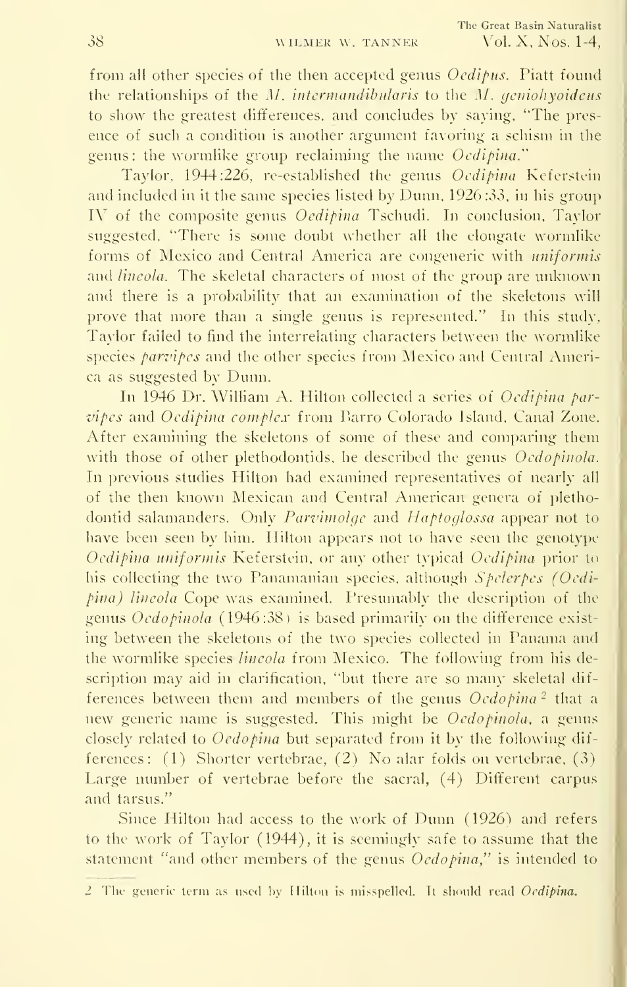from all other species of the then accepted genus Oedipus. Piatt found the relationships of the  $M$ . intermandibularis to the  $M$ . geniohyoideus to show the greatest differences, and concludes by saying, "The pres ence of such a condition is another argument favoring a schism in the genus: the wormlike group reclaiming the name Oedipina."

Taylor, 1944:226, re-established the genus Oedipina Keferstein and included in it the same species listed by Dunn, 1926 :33, in his group IV of the composite genus Oedipina Tschudi. In conclusion, Taylor suggested, "There is some doubt whether all the elongate wormlike forms of Mexico and Central America are congeneric with uniformis and lineola. The skeletal characters of most of the group are unknown and there is a probability that an examination of the skeletons will prove that more than a single genus is represented." In this study, Taylor failed to find the interrelating characters between the wormlike species *parvipes* and the other species from Mexico and Central America as suggested by Dunn.

In 1946 Dr. William A. Hilton collected a series of Oedipina par vipes and Oedipina complex from Barro Colorado Island, Canal Zone. After examining the skeletons of some of these and comparing them with those of other plethodontids, he described the genus Oedopinola. In previous studies Hilton had examined representatives of nearly all of the then known Mexican and Central American genera of plethodontid salamanders. Only Parvimolge and Haptoglossa appear not to have been seen by him. Hilton appears not to have seen the genotype Oedipina uniformis Keferstein, or any other typical Oedipina prior to his collecting the two Panamanian species, although Spelerpes (Oedipina) lineola Cope was examined. Presumably the description of the genus Oedopiuola (1946:38) is based primarily on the difference exist ing between the skeletons of the two species collected in Panama anil the wormlike species *lineola* from Mexico. The following from his description may aid in clarification, "but there are so many skeletal dif ferences between them and members of the genus Oedopina <sup>2</sup> that a new generic name is suggested. This might be Oedopiuola, <sup>a</sup> genus closely related to Oedopina but separated from it by the following dif ferences: (1) Shorter vertebrae, (2) No alar folds on vertebrae, (3) Large number of vertebrae before the sacral, (4) Different carpus and tarsus."

Since Hilton had access to the work of Dunn (1926) and refers to the work of Taylor (1944), it is seemingly safe to assume that the statement "and other members of the genus  $Oedofina$ ," is intended to

<sup>2</sup> The generic term as used by Hilton is misspelled. Tt should read Oedipina.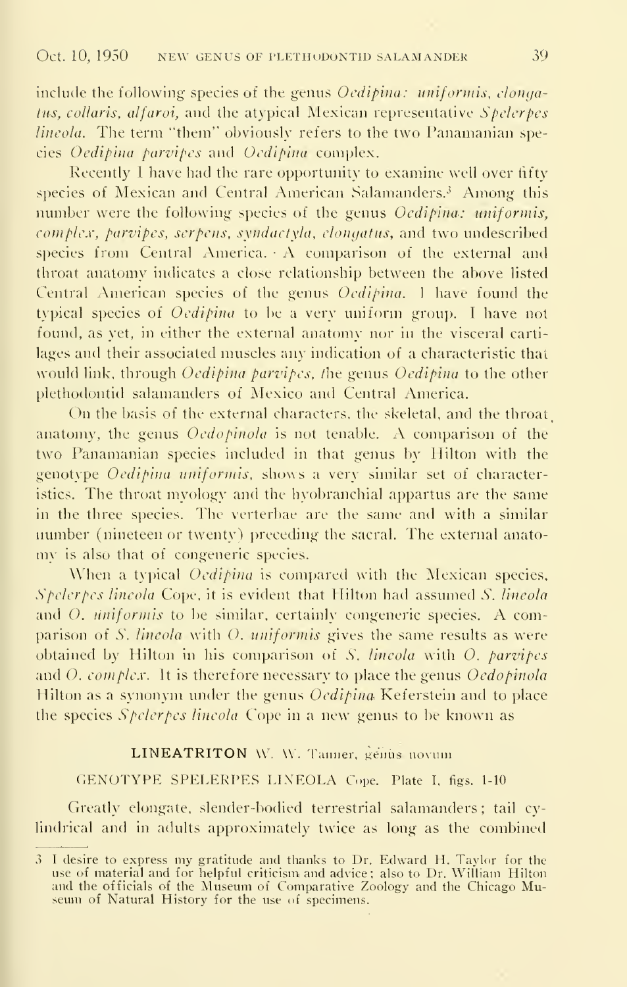include the following species of the genus Oedipina: uniformis, clongatus, collaris, alfaroi, and the atypical Mexican representative Spelerpes lineola. The term "them" obviously refers to the two Panamanian species Ocdipina parvipes and Ocdipina complex.

Recently <sup>I</sup> have had the rare opportunity to examine well over fifty species of Mexican and Central American Salamanders.<sup>3</sup> Among this number were the following species of the genus Ocdipina: uniformis, complex, parvipes, serpens, syudaetyla, elongatus, and two undescribed species from Central America. • A comparison of the external and throat anatomy indicates a close relationship between the above listed Central American species of the genus Ocdipina. <sup>1</sup> have found the typical species of Ocdipina to be a very uniform group. <sup>1</sup> have not found, as yet, in either the external anatomy nor in the visceral carti lages and their associated muscles any indication of a characteristic that would link, through Oedipina parvipes, the genus Oedipina to the other plethodontid salamanders of Mexico and Central America.

On the basis of the external characters, the skeletal, and the throat, anatomy, the genus *Oedopinola* is not tenable. A comparison of the two Panamanian species included in that genus by Hilton with the genotype Ocdipina uniformis, shows a very similar set of characteristics. The throat myology and the hyobranchial appartus are the same in the three species. The verterbae are the same and with a similar number (nineteen or twenty) preceding the sacral. The external anato my is also that of congeneric species.

When a typical *Oedipina* is compared with the Mexican species, Spelerpes lineola Cope, it is evident that Hilton had assumed S. lineola and O. uniformis to be similar, certainly congeneric species. A comparison of S. lineola with O. uniformis gives the same results as were obtained by Hilton in his comparison of  $S$ . lineola with  $O$ . parvipes and O. complex. It is therefore necessary to place the genus Oedopinola Hilton as a synonym under the genus Oedipina Keferstein and to place the species Spelerpes lineola Cope in a new genus to be known as

#### LINEATRITON W. W. Tanner, genus novum

#### GENOTYPE SPELERPES LIXEOLA Cope. Plate I, figs. 1-10

Greatly elongate, slender-bodied terrestrial salamanders ; tail cylindrical and in adults approximately twice as long as the combined

<sup>3</sup> <sup>I</sup> desire to express my gratitude and thanks to Dr. Edward H. Taylor for the use of material and for helpful criticism and advice; also to Dr. William Hilton and the officials of the Museum of Comparative Zoology and the Chicago Museum of Natural History for the use of specimens.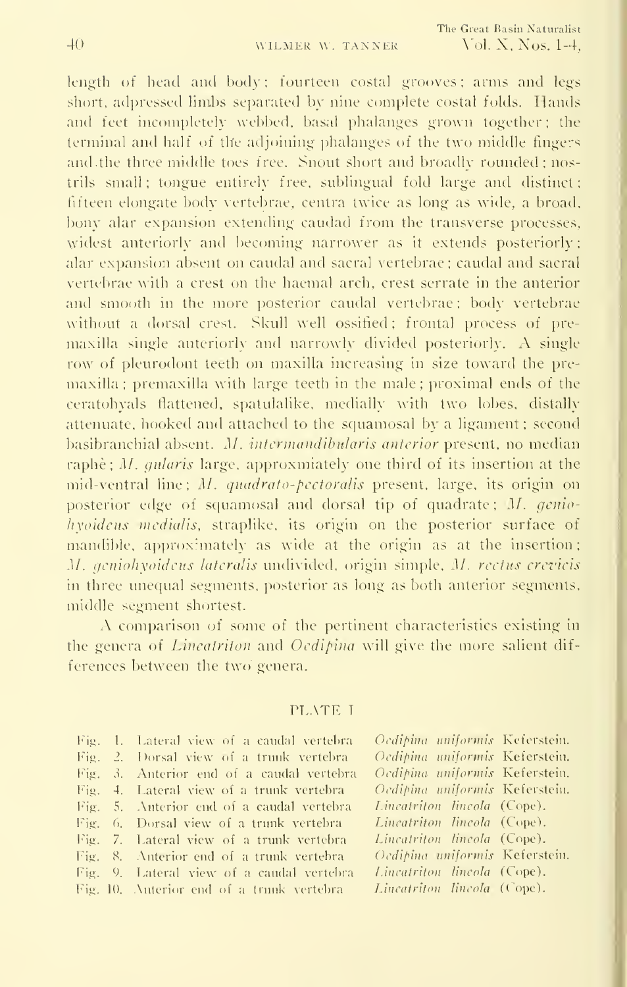length of head and body; fourteen costal grooves; arms and legs short, adpressed limbs separated by nine complete costal folds. Hands and feet incompletely webbed, basal phalanges grown together; the terminal and half of the adjoining phalanges of the two middle fingers and the three middle toes free. Snout short and broadly rounded; nostrils small; tongue entirely free, sublingual fold large and distinct: fifteen elongate body vertebrae, centra twice as long as wide, a broad, bony alar expansion extending caudad from the transverse processes, widest anteriorly and becoming narrower as it extends posteriorly; alar expansion absent on caudal ami sacral vertebrae; caudal and sacral vertebrae with a crest on the haemal arch, crest serrate in the anterior and smooth in the more posterior caudal vertebrae; body vertebrae without a dorsal crest. Skull well ossified; frontal process of pre maxilla single anteriorly and narrowly divided posteriorly. A single row of pleurodont teeth on maxilla increasing in size toward the pre maxilla ; premaxilla with large teeth in the male ; proximal ends of the ceratohyals flattened, spatulalike, medially with two lobes, distally attenuate, hooked and attached to the squamosal by a ligament; second basibranchial absent. M. intermandibularis anterior present, no median  $\text{rank}$ ; M. gularis large, approximately one third of its insertion at the mid-ventral line; M. quadrato-pectoralis present, large, its origin on posterior edge of squamosal and dorsal tip of quadrate; M. geniohyoideus medialis, straplike, its origin on the posterior surface of mandible, approximately as wide at the origin as at the insertion; .1/. geniohyoideus lateralis undivided, origin simple, M. rectus crevicis in three unequal segments, posterior as long as both anterior segments, middle segment shortest.

A comparison of some of the pertinent characteristics existing in the genera of *Lineatriton* and *Oedifina* will give the more salient differences between the two genera.

#### PLATE <sup>T</sup>

Fig. 1. Lateral view of a caudal vertebra Fig. 1. Dorsal view of a trunk vertebra Fig. 3. Anterior end of a caudal vertebra Fig. 4. Lateral view of a trunk vertebra Fig. 5. Anterior end of a caudal vertebra Fig. 6. Dorsal view of a trunk vertebra Fig. 7. Lateral view of a trunk vertebra Fig. 8. Anterior end of a trunk vertebra Fig. 9. Lateral view of a caudal vertebra Fig. Id. Anterior end of a trunk vertebra

Oedipina uniformis Keferstein. Oedipina imiformis Keferstein. Oedipina uniformis Keferstein. Oedipina uniformis Keferstein. Lineatriton lineola (Cope). Lineatriton lineola (Cope). Lineatriton lineola (Cope). Oedipina uniformis Keferstein. / incatriton lineola (Lope). Lineatriton lineola (Cope).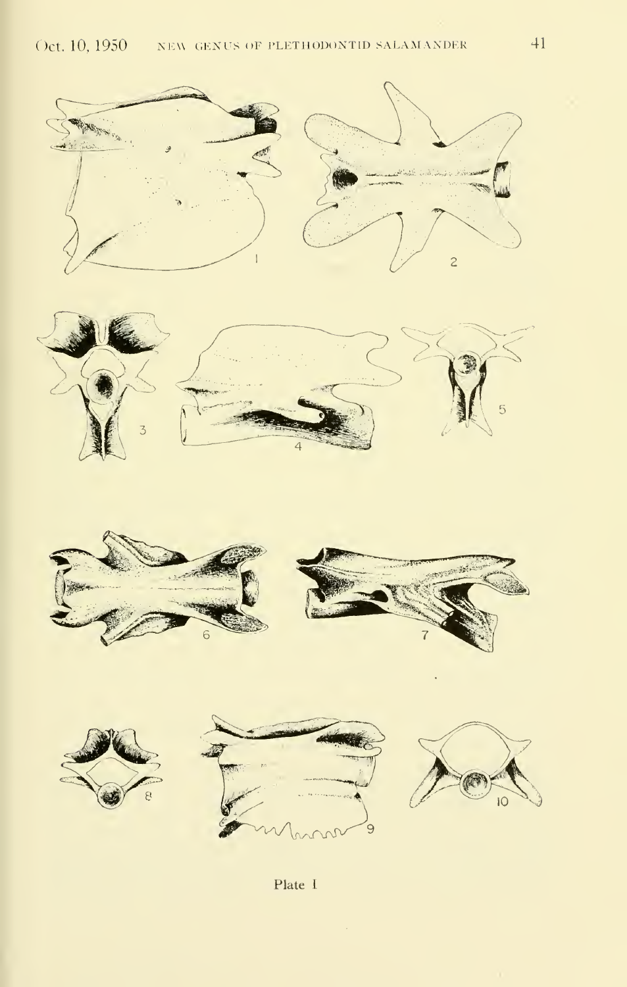







Plate <sup>I</sup>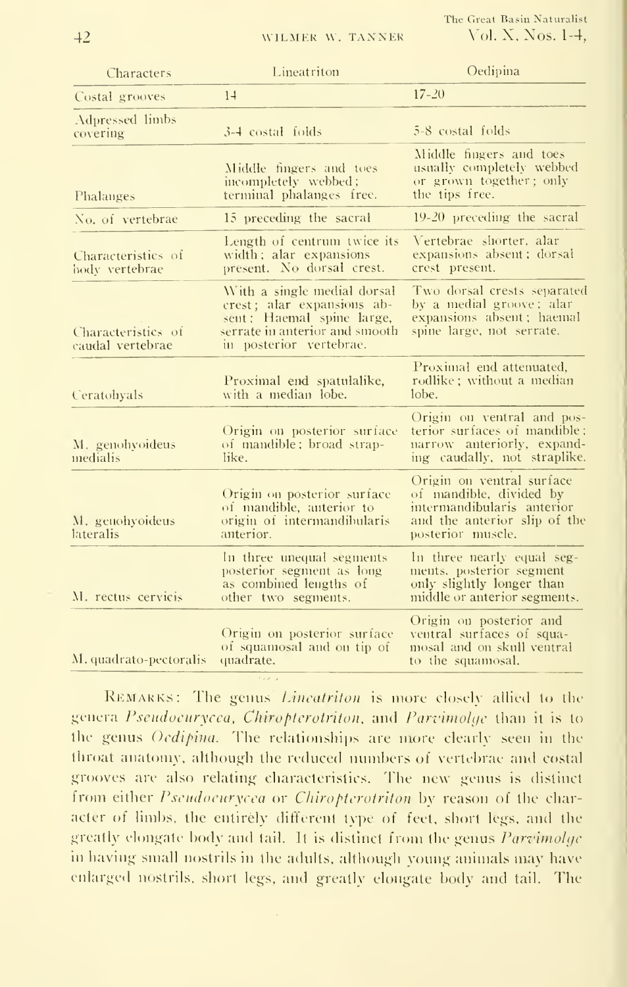The Great Basin Naturalist Vol. X, Nos. 1-4,

| Characters                             | Lineatriton                                                                                                                                         | Oedipina                                                                                                                                |
|----------------------------------------|-----------------------------------------------------------------------------------------------------------------------------------------------------|-----------------------------------------------------------------------------------------------------------------------------------------|
| Costal grooves                         | 14                                                                                                                                                  | $17 - 20$                                                                                                                               |
| Adpressed limbs<br>covering            | 3-4 costal folds                                                                                                                                    | 5-8 costal folds                                                                                                                        |
| <b>Phalanges</b>                       | Middle fingers and toes<br>incompletely webbed;<br>terminal phalanges free.                                                                         | Middle fingers and toes<br>usually completely webbed<br>or grown together; only<br>the tips free.                                       |
| No. of vertebrae                       | 15 preceding the sacral                                                                                                                             | 19-20 preceding the sacral                                                                                                              |
| Characteristics of<br>body vertebrae   | Length of centrum twice its<br>width; alar expansions<br>present. No dorsal crest.                                                                  | Vertebrae shorter, alar<br>expansions absent; dorsal<br>crest present.                                                                  |
| Characteristics of<br>caudal vertebrae | With a single medial dorsal<br>crest; alar expansions ab-<br>sent; Haemal spine large,<br>serrate in anterior and smooth<br>in posterior vertebrae. | Two dorsal crests separated<br>by a medial groove; alar<br>expansions absent; haemal<br>spine large, not serrate.                       |
| Ceratohyals                            | Proximal end spatulalike,<br>with a median lobe.                                                                                                    | Proximal end attenuated,<br>rodlike ; without a median<br>lobe.                                                                         |
| M. genohyoideus<br>medialis            | Origin on posterior surface<br>of mandible; broad strap-<br>like.                                                                                   | Origin on ventral and pos-<br>terior surfaces of mandible;<br>narrow anteriorly, expand-<br>ing caudally, not straplike.                |
| M. genohyoideus<br>lateralis           | Origin on posterior surface<br>of mandible, anterior to<br>origin of intermandibularis<br>anterior.                                                 | Origin on ventral surface<br>of mandible, divided by<br>intermandibularis anterior<br>and the anterior slip of the<br>posterior muscle. |
| M. rectus cervicis                     | In three unequal segments<br>posterior segment as long<br>as combined lengths of<br>other two segments.                                             | In three nearly equal seg-<br>ments, posterior segment<br>only slightly longer than<br>middle or anterior segments.                     |
| M. quadrato-pectoralis                 | Origin on posterior surface<br>of squamosal and on tip of<br>quadrate.                                                                              | Origin on posterior and<br>ventral surfaces of squa-<br>mosal and on skull ventral<br>to the squamosal.                                 |
|                                        |                                                                                                                                                     |                                                                                                                                         |

REMARKS: The genus Lineatriton is more closely allied to the genera Pseudocurycea, Chiropterotriton, and Parvimolge than it is to the genus Oedipina. The relationships are more clearly seen in the throat anatomy, although the reduced numbers of vertebrae and costal grooves are also relating characteristics. The new genus is distinct from either Pseudoeurycea or Chiropterotriton by reason of the character of limbs, the entirely different type of feet, short legs, and the greatly elongate body and tail. It is distinct from the genus Parvimolac in having small nostrils in the adults, although young animals may have enlarged nostrils, short legs, and greatly elongate body and tail. The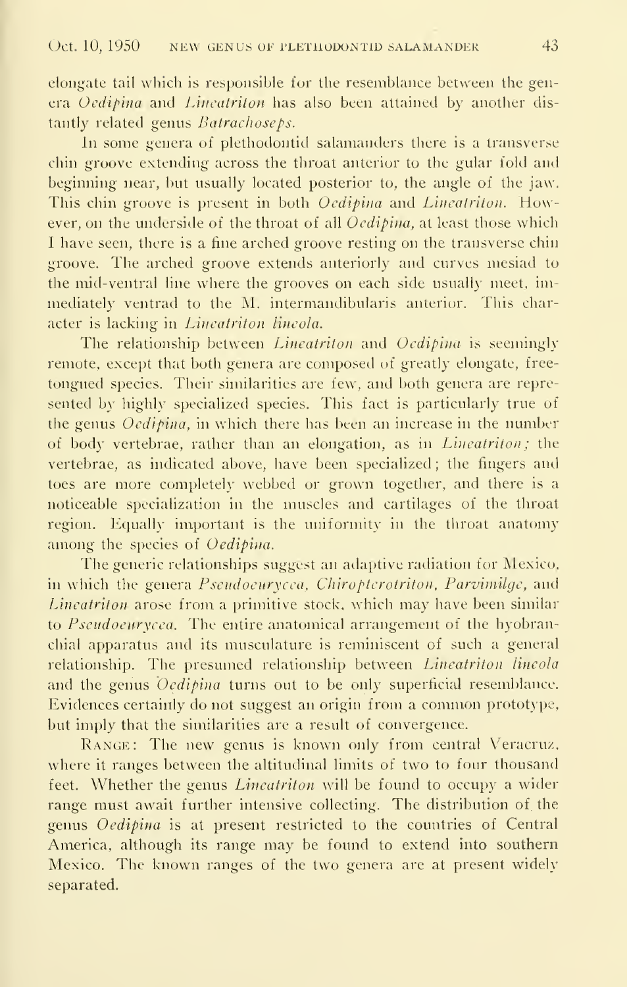elongate tail which is responsible for the resemblance between the genera Oedipina and Lineatriton has also been attained by another dis tantly related genus Batrachoseps.

In some genera of plethodontid salamanders there is a transverse chin groove extending across the throat anterior to the gular fold and beginning near, but usually located posterior to, the angle of the jaw. This chin groove is present in both Oedipina and Lineatriton. However, on the underside of the throat of all *Oedipina*, at least those which <sup>I</sup> have seen, there is a fine arched groove resting on the transverse chin groove. The arched groove extends anteriorly and curves mesiad to the mid-ventral line where the grooves on each side usually meet, immediately ventrad to the M. intermandibularis anterior. This character is lacking in Lineatriton lineola.

The relationship between *Lineatriton* and *Oedipina* is seemingly remote, except that both genera are composed of greatly elongate, freetongued species. Their similarities are few, and both genera are repre sented by highly specialized species. This fact is particularly true of the genus Oedipina, in which there has been an increase in the number of body vertebrae, rather than an elongation, as in Lineatriton; the vertebrae, as indicated above, have been specialized ; the fingers and toes are more completely webbed or grown together, and there is a noticeable specialization in the muscles and cartilages of the throat region. Equally important is the uniformity in the throat anatomy among the species of Oedipina.

The generic relationships suggest an adaptive radiation for Mexico, in which the genera Pseudoeurycea, Chiropterotriton, Parvimilge, and Lineatriton arose from a primitive stock, which may have been similar to Pseudoeurycea. The entire anatomical arrangement of the hyobranchial apparatus and its musculature is reminiscent of such a general relationship. The presumed relationship between *Lineatriton lineola* and the genus Oedipina turns out to be only superficial resemblance. Evidences certainly do not suggest an origin from a common prototype, but imply that the similarities are a result of convergence.

Range: The new genus is known only from central Veracruz, where it ranges between the altitudinal limits of two to four thousand feet. Whether the genus Lineatriton will be found to occupy a wider range must await further intensive collecting. The distribution of the genus Oedipina is at present restricted to the countries of Central America, although its range may be found to extend into southern Mexico. The known ranges of the two genera are at present widely separated.